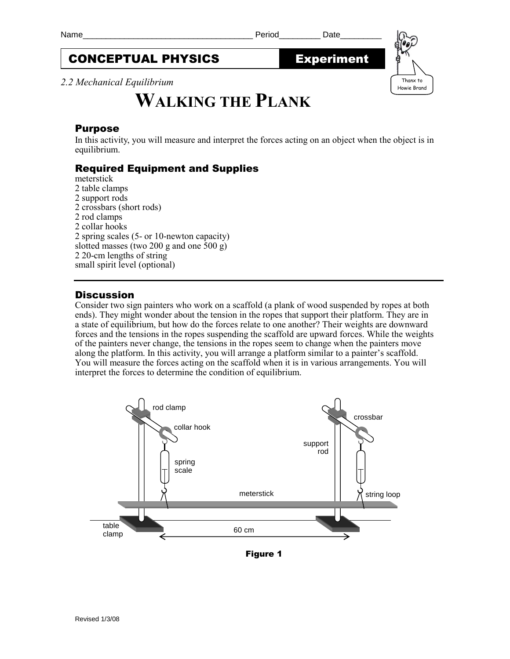# CONCEPTUAL PHYSICS Experiment

*2.2 Mechanical Equilibrium*

# **WALKING THE PLANK**

#### Purpose

In this activity, you will measure and interpret the forces acting on an object when the object is in equilibrium.

## Required Equipment and Supplies

meterstick 2 table clamps 2 support rods 2 crossbars (short rods) 2 rod clamps 2 collar hooks 2 spring scales (5- or 10-newton capacity) slotted masses (two 200 g and one 500 g) 2 20-cm lengths of string small spirit level (optional)

#### **Discussion**

Consider two sign painters who work on a scaffold (a plank of wood suspended by ropes at both ends). They might wonder about the tension in the ropes that support their platform. They are in a state of equilibrium, but how do the forces relate to one another? Their weights are downward forces and the tensions in the ropes suspending the scaffold are upward forces. While the weights of the painters never change, the tensions in the ropes seem to change when the painters move along the platform. In this activity, you will arrange a platform similar to a painter's scaffold. You will measure the forces acting on the scaffold when it is in various arrangements. You will interpret the forces to determine the condition of equilibrium.



Figure 1

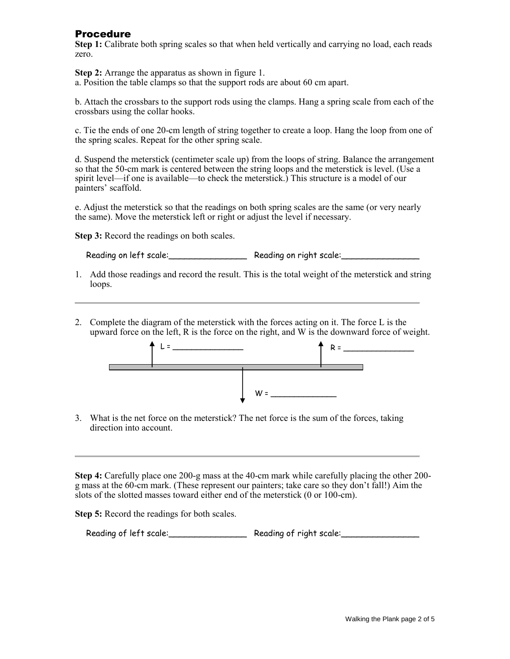### Procedure

**Step 1:** Calibrate both spring scales so that when held vertically and carrying no load, each reads zero.

**Step 2:** Arrange the apparatus as shown in figure 1.

a. Position the table clamps so that the support rods are about 60 cm apart.

b. Attach the crossbars to the support rods using the clamps. Hang a spring scale from each of the crossbars using the collar hooks.

c. Tie the ends of one 20-cm length of string together to create a loop. Hang the loop from one of the spring scales. Repeat for the other spring scale.

d. Suspend the meterstick (centimeter scale up) from the loops of string. Balance the arrangement so that the 50-cm mark is centered between the string loops and the meterstick is level. (Use a spirit level—if one is available—to check the meterstick.) This structure is a model of our painters' scaffold.

e. Adjust the meterstick so that the readings on both spring scales are the same (or very nearly the same). Move the meterstick left or right or adjust the level if necessary.

**Step 3:** Record the readings on both scales.

Reading on left scale:\_\_\_\_\_\_\_\_\_\_\_\_\_\_\_ Reading on right scale:\_\_\_\_\_\_\_\_\_\_\_\_\_\_\_

- 1. Add those readings and record the result. This is the total weight of the meterstick and string loops.
- 2. Complete the diagram of the meterstick with the forces acting on it. The force L is the upward force on the left, R is the force on the right, and W is the downward force of weight.



3. What is the net force on the meterstick? The net force is the sum of the forces, taking direction into account.

**Step 4:** Carefully place one 200-g mass at the 40-cm mark while carefully placing the other 200 g mass at the 60-cm mark. (These represent our painters; take care so they don't fall!) Aim the slots of the slotted masses toward either end of the meterstick (0 or 100-cm).

**Step 5:** Record the readings for both scales.

Reading of left scale: \_\_\_\_\_\_\_\_\_\_\_\_\_\_\_\_\_\_\_\_ Reading of right scale: \_\_\_\_\_\_\_\_\_\_\_\_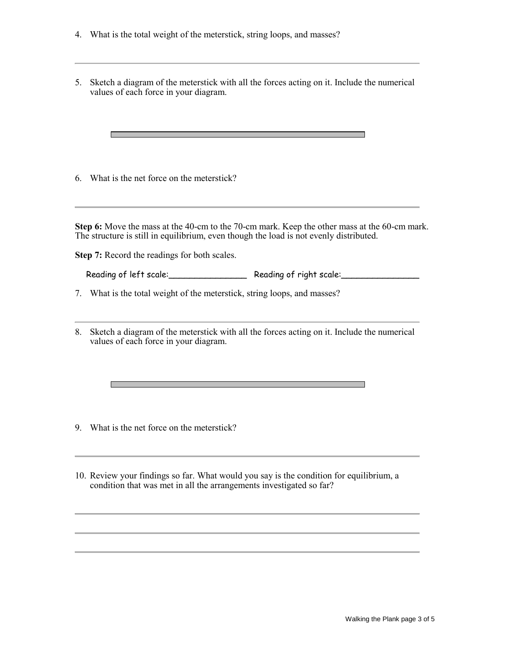- 4. What is the total weight of the meterstick, string loops, and masses?
- 5. Sketch a diagram of the meterstick with all the forces acting on it. Include the numerical values of each force in your diagram.

6. What is the net force on the meterstick?

**The Story** 

**Step 6:** Move the mass at the 40-cm to the 70-cm mark. Keep the other mass at the 60-cm mark. The structure is still in equilibrium, even though the load is not evenly distributed.

**Step 7:** Record the readings for both scales.

Reading of left scale:\_\_\_\_\_\_\_\_\_\_\_\_\_\_\_ Reading of right scale:\_\_\_\_\_\_\_\_\_\_\_\_\_\_\_

7. What is the total weight of the meterstick, string loops, and masses?

8. Sketch a diagram of the meterstick with all the forces acting on it. Include the numerical values of each force in your diagram.

9. What is the net force on the meterstick?

 $\mathcal{L}_{\mathcal{A}}$ 

10. Review your findings so far. What would you say is the condition for equilibrium, a condition that was met in all the arrangements investigated so far?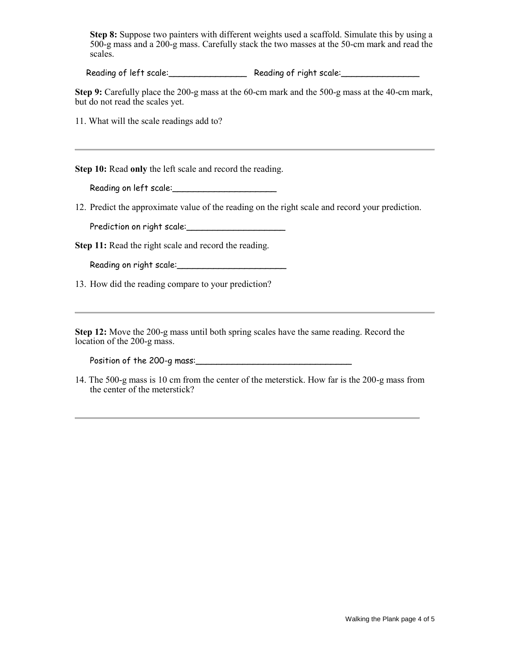**Step 8:** Suppose two painters with different weights used a scaffold. Simulate this by using a 500-g mass and a 200-g mass. Carefully stack the two masses at the 50-cm mark and read the scales.

Reading of left scale: Reading of right scale: Reading of right scale:

**Step 9:** Carefully place the 200-g mass at the 60-cm mark and the 500-g mass at the 40-cm mark, but do not read the scales yet.

11. What will the scale readings add to?

**Step 10:** Read **only** the left scale and record the reading.

Reading on left scale:\_\_\_\_\_\_\_\_\_\_\_\_\_\_\_\_\_\_\_\_

12. Predict the approximate value of the reading on the right scale and record your prediction.

Prediction on right scale:\_\_\_\_\_\_\_\_\_\_\_\_\_\_\_\_\_\_\_

**Step 11:** Read the right scale and record the reading.

Reading on right scale:\_\_\_\_\_\_\_\_\_\_\_\_\_\_\_\_\_\_\_\_\_

13. How did the reading compare to your prediction?

**Step 12:** Move the 200-g mass until both spring scales have the same reading. Record the location of the 200-g mass.

Position of the 200-g mass:\_\_\_\_\_\_\_\_\_\_\_\_\_\_\_\_\_\_\_\_\_\_\_\_\_\_\_\_\_\_

14. The 500-g mass is 10 cm from the center of the meterstick. How far is the 200-g mass from the center of the meterstick?